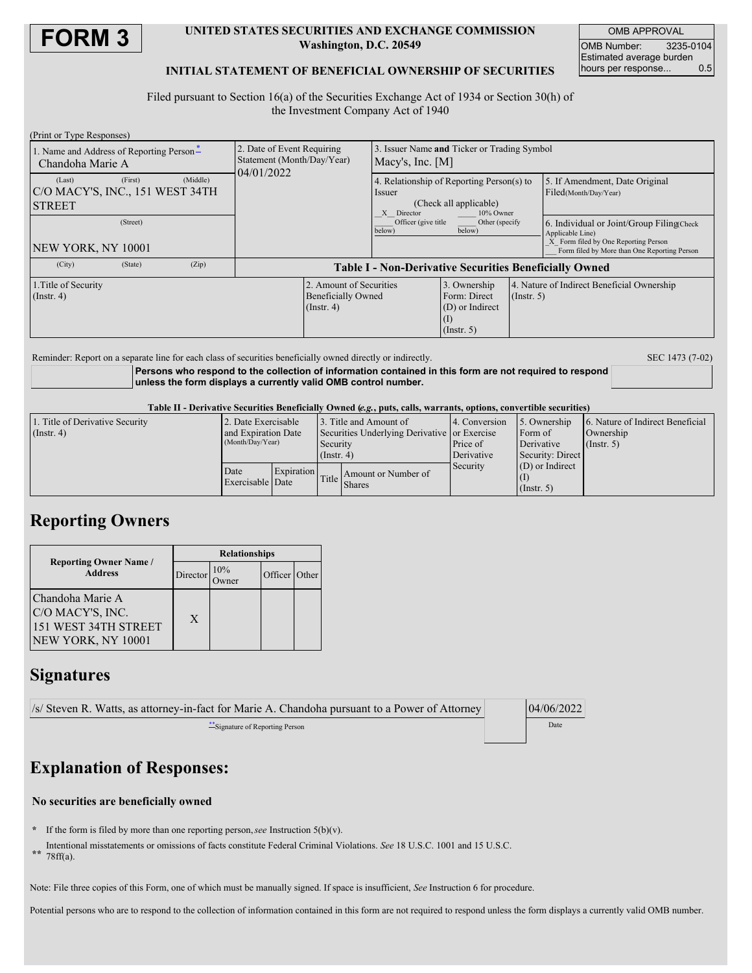

#### **UNITED STATES SECURITIES AND EXCHANGE COMMISSION Washington, D.C. 20549**

OMB APPROVAL OMB Number: 3235-0104 Estimated average burden<br>hours per response... 0.5 hours per response...

#### **INITIAL STATEMENT OF BENEFICIAL OWNERSHIP OF SECURITIES**

Filed pursuant to Section 16(a) of the Securities Exchange Act of 1934 or Section 30(h) of the Investment Company Act of 1940

| (Print or Type Responses)                                    |         |          |                                                                        |                                                                          |                                                                                                          |                                                                     |             |                                                                                                                                                       |  |
|--------------------------------------------------------------|---------|----------|------------------------------------------------------------------------|--------------------------------------------------------------------------|----------------------------------------------------------------------------------------------------------|---------------------------------------------------------------------|-------------|-------------------------------------------------------------------------------------------------------------------------------------------------------|--|
| 1. Name and Address of Reporting Person-<br>Chandoha Marie A |         |          | 2. Date of Event Requiring<br>Statement (Month/Day/Year)<br>04/01/2022 |                                                                          | Issuer Name and Ticker or Trading Symbol<br>Macy's, Inc. $[M]$                                           |                                                                     |             |                                                                                                                                                       |  |
| (Last)<br> C/O MACY'S, INC., 151 WEST 34TH<br><b>STREET</b>  | (First) | (Middle) |                                                                        |                                                                          | 4. Relationship of Reporting Person(s) to<br>Issuer<br>(Check all applicable)<br>X Director<br>10% Owner |                                                                     |             | 5. If Amendment, Date Original<br>Filed(Month/Day/Year)                                                                                               |  |
| (Street)<br>NEW YORK, NY 10001                               |         |          |                                                                        |                                                                          | Officer (give title<br>Other (specify<br>below)<br>below)                                                |                                                                     |             | 6. Individual or Joint/Group Filing Check<br>Applicable Line)<br>X Form filed by One Reporting Person<br>Form filed by More than One Reporting Person |  |
| (City)                                                       | (State) | (Zip)    | <b>Table I - Non-Derivative Securities Beneficially Owned</b>          |                                                                          |                                                                                                          |                                                                     |             |                                                                                                                                                       |  |
| 1. Title of Security<br>(Insert, 4)                          |         |          |                                                                        | 2. Amount of Securities<br><b>Beneficially Owned</b><br>$($ Instr. 4 $)$ |                                                                                                          | 3. Ownership<br>Form: Direct<br>(D) or Indirect<br>$($ Instr. 5 $)$ | (Insert, 5) | 4. Nature of Indirect Beneficial Ownership                                                                                                            |  |

Reminder: Report on a separate line for each class of securities beneficially owned directly or indirectly. SEC 1473 (7-02)

**Persons who respond to the collection of information contained in this form are not required to respond unless the form displays a currently valid OMB control number.**

Table II - Derivative Securities Beneficially Owned (e.g., puts, calls, warrants, options, convertible securities)

| 1. Title of Derivative Security | 2. Date Exercisable |            | 3. Title and Amount of                       |                     | 14. Conversion | 15. Ownership     | 6. Nature of Indirect Beneficial |  |
|---------------------------------|---------------------|------------|----------------------------------------------|---------------------|----------------|-------------------|----------------------------------|--|
| (Insert 4)                      | and Expiration Date |            | Securities Underlying Derivative or Exercise |                     |                | Form of           | Ownership                        |  |
|                                 | (Month/Day/Year)    |            | Security                                     |                     | Price of       | Derivative        | $($ Instr. 5 $)$                 |  |
|                                 |                     |            | $($ Instr. 4)                                |                     | Derivative     | Security: Direct  |                                  |  |
|                                 | Date                | Expiration |                                              |                     | Security       | $(D)$ or Indirect |                                  |  |
|                                 | Exercisable Date    |            | Title I                                      | Amount or Number of |                |                   |                                  |  |
|                                 |                     |            |                                              | <b>Shares</b>       |                | $($ Instr. 5)     |                                  |  |

# **Reporting Owners**

| <b>Reporting Owner Name</b> /                                                      | <b>Relationships</b> |     |               |  |  |
|------------------------------------------------------------------------------------|----------------------|-----|---------------|--|--|
| <b>Address</b>                                                                     | Director             | 10% | Officer Other |  |  |
| Chandoha Marie A<br>C/O MACY'S, INC.<br>151 WEST 34TH STREET<br>NEW YORK, NY 10001 | X                    |     |               |  |  |

## **Signatures**

| $\frac{ s }{\text{S}}$ Steven R. Watts, as attorney-in-fact for Marie A. Chandoha pursuant to a Power of Attorney | 04/06/2022 |
|-------------------------------------------------------------------------------------------------------------------|------------|
| Signature of Reporting Person                                                                                     | Date       |
|                                                                                                                   |            |

# **Explanation of Responses:**

### **No securities are beneficially owned**

- **\*** If the form is filed by more than one reporting person,*see* Instruction 5(b)(v).
- **\*\*** Intentional misstatements or omissions of facts constitute Federal Criminal Violations. *See* 18 U.S.C. 1001 and 15 U.S.C.
- 78ff(a).

Note: File three copies of this Form, one of which must be manually signed. If space is insufficient, *See* Instruction 6 for procedure.

Potential persons who are to respond to the collection of information contained in this form are not required to respond unless the form displays a currently valid OMB number.